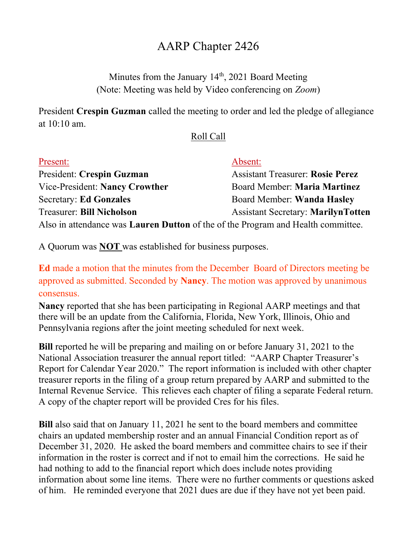## AARP Chapter 2426

Minutes from the January  $14<sup>th</sup>$ , 2021 Board Meeting (Note: Meeting was held by Video conferencing on Zoom)

President Crespin Guzman called the meeting to order and led the pledge of allegiance at 10:10 am.

## Roll Call

| Present:                                                                                | Absent:                                   |
|-----------------------------------------------------------------------------------------|-------------------------------------------|
| President: Crespin Guzman                                                               | <b>Assistant Treasurer: Rosie Perez</b>   |
| Vice-President: Nancy Crowther                                                          | Board Member: Maria Martinez              |
| <b>Secretary: Ed Gonzales</b>                                                           | Board Member: Wanda Hasley                |
| <b>Treasurer: Bill Nicholson</b>                                                        | <b>Assistant Secretary: MarilynTotten</b> |
| Also in attendance was <b>Lauren Dutton</b> of the of the Program and Health committee. |                                           |

A Quorum was NOT was established for business purposes.

Ed made a motion that the minutes from the December Board of Directors meeting be approved as submitted. Seconded by Nancy. The motion was approved by unanimous consensus.

Nancy reported that she has been participating in Regional AARP meetings and that there will be an update from the California, Florida, New York, Illinois, Ohio and Pennsylvania regions after the joint meeting scheduled for next week.

Bill reported he will be preparing and mailing on or before January 31, 2021 to the National Association treasurer the annual report titled: "AARP Chapter Treasurer's Report for Calendar Year 2020." The report information is included with other chapter treasurer reports in the filing of a group return prepared by AARP and submitted to the Internal Revenue Service. This relieves each chapter of filing a separate Federal return. A copy of the chapter report will be provided Cres for his files.

Bill also said that on January 11, 2021 he sent to the board members and committee chairs an updated membership roster and an annual Financial Condition report as of December 31, 2020. He asked the board members and committee chairs to see if their information in the roster is correct and if not to email him the corrections. He said he had nothing to add to the financial report which does include notes providing information about some line items. There were no further comments or questions asked of him. He reminded everyone that 2021 dues are due if they have not yet been paid.